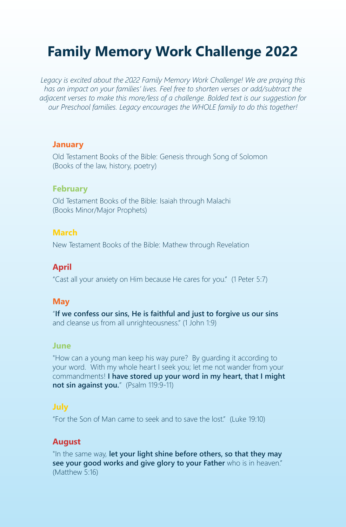# **Family Memory Work Challenge 2022**

*Legacy is excited about the 2022 Family Memory Work Challenge! We are praying this has an impact on your families' lives. Feel free to shorten verses or add/subtract the adjacent verses to make this more/less of a challenge. Bolded text is our suggestion for our Preschool families. Legacy encourages the WHOLE family to do this together!* 

#### **January**

Old Testament Books of the Bible: Genesis through Song of Solomon (Books of the law, history, poetry)

## **February**

Old Testament Books of the Bible: Isaiah through Malachi (Books Minor/Major Prophets)

## **March**

New Testament Books of the Bible: Mathew through Revelation

## **April**

"Cast all your anxiety on Him because He cares for you." (1 Peter 5:7)

## **May**

"**If we confess our sins, He is faithful and just to forgive us our sins** and cleanse us from all unrighteousness." (1 John 1:9)

## **June**

"How can a young man keep his way pure? By guarding it according to your word. With my whole heart I seek you; let me not wander from your commandments! **I have stored up your word in my heart, that I might not sin against you.**" (Psalm 119:9-11)

## **July**

"For the Son of Man came to seek and to save the lost." (Luke 19:10)

## **August**

"In the same way, **let your light shine before others, so that they may see your good works and give glory to your Father** who is in heaven." (Matthew 5:16)